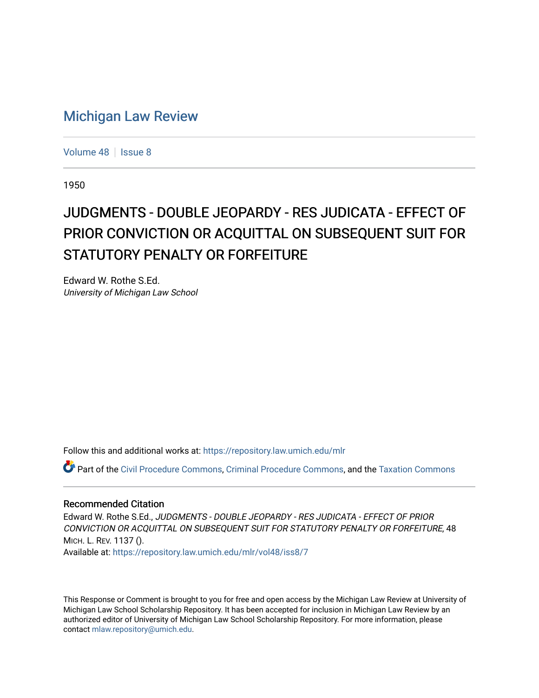# [Michigan Law Review](https://repository.law.umich.edu/mlr)

[Volume 48](https://repository.law.umich.edu/mlr/vol48) | [Issue 8](https://repository.law.umich.edu/mlr/vol48/iss8)

1950

# JUDGMENTS - DOUBLE JEOPARDY - RES JUDICATA - EFFECT OF PRIOR CONVICTION OR ACQUITTAL ON SUBSEQUENT SUIT FOR STATUTORY PENALTY OR FORFEITURE

Edward W. Rothe S.Ed. University of Michigan Law School

Follow this and additional works at: [https://repository.law.umich.edu/mlr](https://repository.law.umich.edu/mlr?utm_source=repository.law.umich.edu%2Fmlr%2Fvol48%2Fiss8%2F7&utm_medium=PDF&utm_campaign=PDFCoverPages) 

Part of the [Civil Procedure Commons,](http://network.bepress.com/hgg/discipline/584?utm_source=repository.law.umich.edu%2Fmlr%2Fvol48%2Fiss8%2F7&utm_medium=PDF&utm_campaign=PDFCoverPages) [Criminal Procedure Commons](http://network.bepress.com/hgg/discipline/1073?utm_source=repository.law.umich.edu%2Fmlr%2Fvol48%2Fiss8%2F7&utm_medium=PDF&utm_campaign=PDFCoverPages), and the [Taxation Commons](http://network.bepress.com/hgg/discipline/643?utm_source=repository.law.umich.edu%2Fmlr%2Fvol48%2Fiss8%2F7&utm_medium=PDF&utm_campaign=PDFCoverPages)

#### Recommended Citation

Edward W. Rothe S.Ed., JUDGMENTS - DOUBLE JEOPARDY - RES JUDICATA - EFFECT OF PRIOR CONVICTION OR ACQUITTAL ON SUBSEQUENT SUIT FOR STATUTORY PENALTY OR FORFEITURE, 48 MICH. L. REV. 1137 ().

Available at: [https://repository.law.umich.edu/mlr/vol48/iss8/7](https://repository.law.umich.edu/mlr/vol48/iss8/7?utm_source=repository.law.umich.edu%2Fmlr%2Fvol48%2Fiss8%2F7&utm_medium=PDF&utm_campaign=PDFCoverPages)

This Response or Comment is brought to you for free and open access by the Michigan Law Review at University of Michigan Law School Scholarship Repository. It has been accepted for inclusion in Michigan Law Review by an authorized editor of University of Michigan Law School Scholarship Repository. For more information, please contact [mlaw.repository@umich.edu](mailto:mlaw.repository@umich.edu).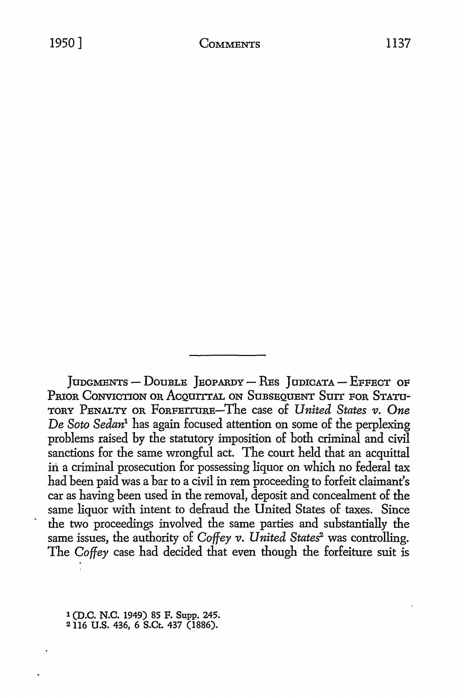JUDGMENTS - DOUBLE JEOPARDY - RES JUDICATA - EFFECT OF PRIOR CONVICTION OR ACOUITTAL ON SUBSEQUENT SUIT FOR STATU-TORY PENALTY OR FORFEITURE-The case of *United States v. One De Soto Sedan1* has again focused attention on some of the perplexing problems raised by the statutory imposition of both criminal and civil sanctions for the same wrongful act. The court held that an acquittal in a criminal prosecution for possessing liquor on which no federal tax had been paid was a bar to a civil in rem proceeding to forfeit claimant's car as having been used in the removal, deposit and concealment of the same liquor with intent to defraud the United States of taxes. Since the two proceedings involved the same parties and substantially the same issues, the authority of *Coffey v. United States<sup>2</sup>* was controlling. The *Coffey* case had decided that even though the forfeiture suit is

1 (D.C. N.C. 1949) 85 F. Supp. 245. 2 116 U.S. 436, 6 S.Ct. 437 (1886).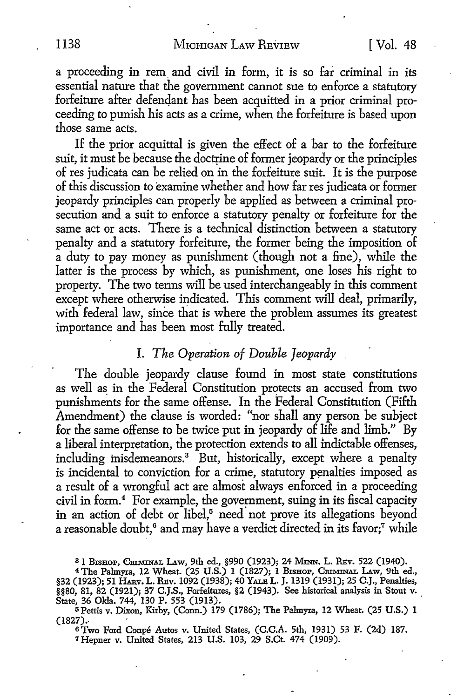a proceeding in rem and civil in form, it is so far criminal in its essential nature that the government cannot sue to enforce a statutory forfeiture after defendant has been acquitted in a prior criminal proceeding to punish his acts as a crime, when the forfeiture is based upon those same acts.

If the prior acquittal is given the effect of a bar to the forfeiture suit, it must be because the doctrine of former jeopardy or the principles of res judicata can be relied on in the forfeiture suit. It is the purpose of this discussion to examine whether and how far res judicata or former jeopardy principles can properly be applied as between a criminal prosecution and a suit to enforce a statutory penalty or forfeiture for the same act or acts. There is a technical distinction between a statutory penalty and a statutory forfeiture, the former being the imposition of a duty to pay money as punishment (though not a fine), while the latter is the process by which, as punishment, one loses his right to property. The two terms will be used interchangeably in this comment except where otherwise indicated. This comment will deal, primarily, with federal law, since that is where the problem assumes its greatest importance and has been most fully treated.

### I. *The Operation of Double Jeopardy*

The double jeopardy clause found in most state constitutions as well as in the Federal Constitution protects an accused from two punishments for the same offense. In the Federal Constitution (Fifth Amendment) the clause is worded: "nor shall any person be subject for the same offense to be twice put in jeopardy of life and limb." By a liberal interpretation, the protection extends to all mdictable offenses, including misdemeanors.<sup>3</sup> But, historically, except where a penalty is incidental to conviction for a crime, statutory penalties imposed as a result of a wrongful act are almost always enforced in a proceeding civil in form.<sup>4</sup> For example, the government, suing in its fiscal capacity in an action of debt or libel,<sup>5</sup> need not prove its allegations beyond a reasonable doubt,<sup>6</sup> and may have a verdict directed in its favor;<sup>7</sup> while

<sup>3</sup> 1 Bishop, Chiminal Law, 9th ed., §990 (1923); 24 Minn. L. Rev. 522 (1940).<br><sup>4</sup> The Palmyra, 12 Wheat. (25 U.S.) 1 (1827); 1 Bishop, Criminal Law, 9th ed.,

§32 (1923); 51 HARV. L. REV. 1092 (1938); 40 YALE L. J. 1319 (1931); 25 C.J., Penalties, §§80, 81, 82 (1921); 37 C.J.S., Forfeitures, §2 (1943). See historical analysis in Stout v.

State, 36 Okla. 744, 130 P. 553 (1913).<br>5 Pettis v. Dixon, Kirby, (Conn.) 179 (1786); The Palmyra, 12 Wheat. (25 U.S.) 1  $(1827)$ .

<sup>6</sup>Two Ford Coupe Autos v. United States, (C.C.A. 5th, 1931) 53 F. (2d) 187. 7 Hepner v. United States, 213 U.S. 103, 29 S.Ct. 474 (1909).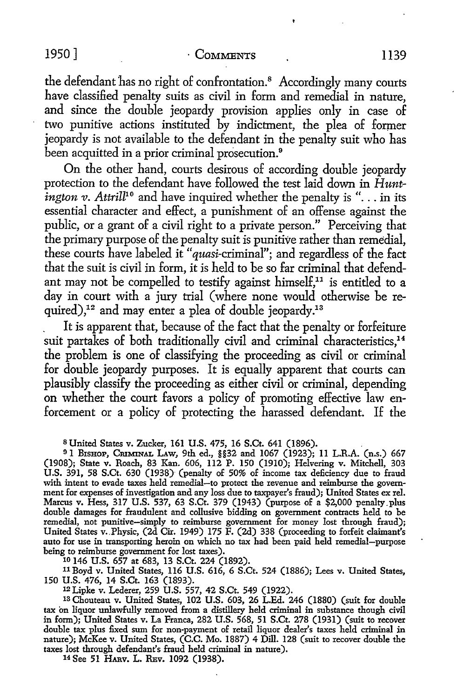the defendant has no right of confrontation.<sup>8</sup> Accordingly many courts have classified penalty suits as civil in form and remedial in nature, and since the double jeopardy provision applies only in case of two punitive actions instituted by indictment, the plea of former jeopardy is not available to the defendant in the penalty suit who has been acquitted in a prior criminal prosecution.<sup>9</sup>

On the other hand, courts desirous of according double jeopardy protection to the defendant have followed the test laid down in *Huntington v. Attrill*<sup>10</sup> and have inquired whether the penalty is "... in its essential character and effect, a punishment of an offense against the public, or a grant of a civil right to a private person." Perceiving that the primary purpose of the penalty suit is punitive rather than remedial, these courts have labeled it "quasi-criminal"; and regardless of the fact that the suit is civil in form, it is held to be so far criminal that defendant may not be compelled to testify against himself,<sup>11</sup> is entitled to a day in court with a jury trial ( where none would otherwise be required),<sup>12</sup> and may enter a plea of double jeopardy.<sup>13</sup>

. It is apparent that, because of the fact that the penalty or forfeiture suit partakes of both traditionally civil and criminal characteristics,<sup>14</sup> the problem is one of classifying the proceeding as civil or criminal for double jeopardy purposes. It is equally apparent that courts can plausibly classify the proceeding as either civil or criminal, depending on whether the court favors a policy of promoting effective law enforcement or a policy of protecting the harassed defendant. If the

<sup>11</sup> Boyd v. United States, 116 U.S. 616, 6 S.Ct. 524 (1886); Lees v. United States, 150 U.S. 476, 14 S.Ct. 163 (1893).

<sup>12</sup>Lipke v. Lederer, 259 U.S. 557, 42 S.Ct. 549 (1922).

1s Chouteau v. United States, 102 U.S. 603, 26 L.Ed. 246 (1880) (suit for double tax on liquor unlawfully removed from a distillery held criminal in substance though civil in form); United States v. La Franca, 282 U.S. 568, 51 S.Ct. 278 (1931) (suit to recover double tax plus fixed sum for non-payment of retail liquor dealer's taxes held criminal in nature); McKee v. United States, (C.C. Mo. 1887) 4 Dill. 128 (suit to recover double the taxes lost through defendant's fraud held criminal in nature).

14 See 51 HARV. L. REv. 1092 (1938).

s United States v. Zucker, 161 U.S. 475, 16 S.Ct. 641 (1896). .

<sup>9</sup> 1 BISHOP, CRIMINAL I.Aw, 9th ed., §§32 and 1067 (1923); 11 L.R.A. (n.s.) 667 (1908); State v. Roach, 83 Kan. 606, 112 P. 150 (1910); Helvering v. Mitchell, 303 U.S. 391, 58 S.Ct. 630 (1938) (penalty of 50% of income tax deficiency due to fraud with intent to evade taxes held remedial-to protect the revenue and reimburse the government for expenses of investigation and any loss due to taxpayer's fraud); United States ex rel. Marcus v. Hess, 317 U.S. 537, 63 S.Ct. 379 (1943) (purpose of a \$2,000 penalty.plus double daniages for fraudulent and collusive bidding on government contracts held to be remedial, not punitive-simply to reimburse government for money lost through fraud); United States v. Physic, (2d Cir. 1949) 175 F. (2d) 338 (proceeding to forfeit claimant's auto for use in transporting heroin on which no tax had been paid held remedial-purpose being to reimburse government for lost taxes).<br><sup>10</sup> 146 U.S. 657 at 683, 13 S.Ct. 224 (1892).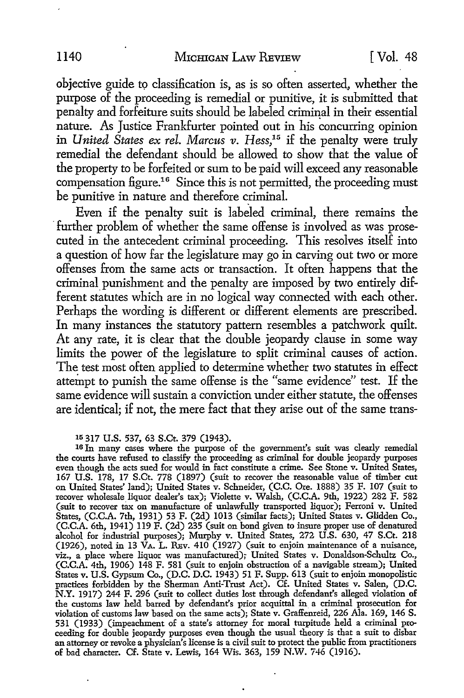objective guide to classification is, as is so often asserted, whether the purpose of the proceeding is remedial or punitive, it is submitted that penalty and forfeiture suits should be labeled criminal in their essential nature. As Justice Frankfurter pointed out in his concurring opinion in *United States ex rel. Marcus v. Hess*,<sup>15</sup> if the penalty were truly remedial the defendant should be allowed to show that the value of the property to be forfeited or sum to be paid will exceed any reasonable compensation figure.<sup>16</sup> Since this is not permitted, the proceeding must be punitive in nature and therefore criminal.

Even if the penalty suit is labeled criminal, there remains the further problem of whether the same offense is involved as was prosecuted in the antecedent criminal proceeding. This resolves itself into a question of how far the legislature may go in carving out two or more offenses from the same acts or transaction. It often happens that the criminal punishment and the penalty are imposed by two entirely different statutes which are in no logical way connected with each other. Perhaps the wording is different or different elements are prescribed. In many instances the statutory pattern resembles a patchwork quilt. At any rate, it is clear that the double jeopardy clause in some way limits the power of the legislature to split criminal causes of action. The test most often applied to determine whether two statutes in effect attempt to punish the same offense is the "same evidence" test. If the same evidence will sustain a conviction under either statute, the offenses are identical; if not, the mere fact that they arise out of the same trans-

15 317 U.S. 537, 63 S.Ct. 379 (1943).

16 In many cases where the purpose of the government's suit was clearly remedial the courts have refused to classify the proceeding as criminal for double jeopardy purposes even though the acts sued for would in fact constitute a crime. See Stone v. United States, 167 U.S. 178, 17 S.Ct. 778 (1897) (suit to recover the reasonable value of timber cut on United States' land); United States v. Schneider, (C.C. Ore. 1888) 35 F. 107 (suit to recover wholesale liquor dealer's tax); Violette v. Walsh, (C.C.A. 9th, 1922) 282 F. 582 (suit to recover tax on manufacture of unlawfully transported liquor); Ferroni v. United States, (C.C.A. 7th, 1931) 53 F. (2d) 1013 (similar facts); United States v. Glidden Co., (C.C.A. 6th, 1941) 119 F. (2d) 235 (suit on bond given to insure proper use of denatured alcohol for industrial purposes); Murphy v. United States, 272 U.S. 630, 47 S.Ct. 218 (1926), noted in 13  $\bar{V}$ A. L. REv. 410 (1927) (suit to enjoin maintenance of a nuisance, viz., a place where liquor was manufactured); United States v. Donaldson-Schultz Co., (C.C.A. 4th, 1906) 148 F. 581 (suit to enjoin obstruction of a navigable stream); United States v. U.S. Gypsum Co., (D.C. D.C. 1943) 51 F. Supp. 613 (suit to enjoin monopolistic practices forbidden by the Sherman Anti-Trust Act). Cf. United States v. Salen, (D.C. N.Y. 1917) 244 F. 296 (suit to collect duties lost through defendant's alleged violation of the customs law held barred by defendant's prior acquittal in a criminal prosecution for violation of customs law based on the same acts); State v. Graffenreid, 226 Ala. 169, 146 S. 531 (1933) (impeachment of a state's attorney for moral turpitude held a criminal proceeding for double jeopardy purposes even though the usual theory is that a suit to disbar an attorney or revoke a physician's license is a civil suit to protect the public from practitioners of bad character. Cf. State v. Lewis, 164 Wis. 363, 159 N.W. 746 (1916).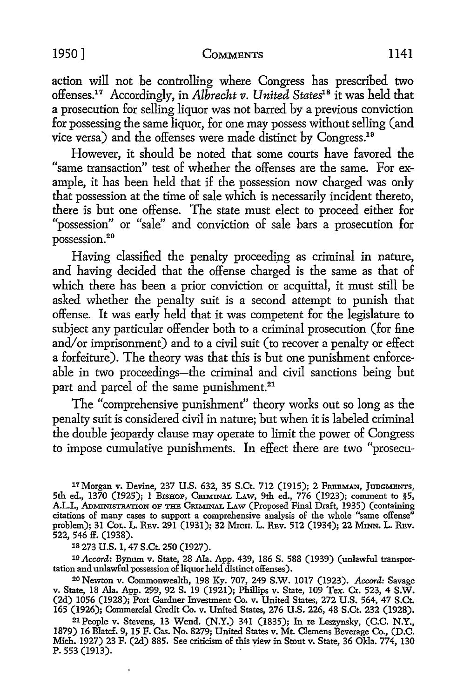action will not be controlling where Congress has prescribed two offenses.17 Accordingly, in *Albrecht v. United States1* <sup>8</sup>it was held that a prosecution for selling liquor was not barred by a previous conviction for possessing the same liquor, for one may possess without selling (and vice versa) and the offenses were made distinct by Congress.19

However, it should be noted that some courts have favored the "same transaction" test of whether the offenses are the same. For example, it has been held that if the possession now charged was only that possession at the time of sale which is necessarily incident thereto, there is but one offense. The state must elect to proceed either for "possession" or "sale" and conviction of sale bars a prosecution for possession. 20

Having classified the penalty proceeding as criminal in nature, and having decided that the offense charged is the same as that of which there has been a prior conviction or acquittal, it must still be asked whether the penalty suit is a second attempt to punish that offense. It was early held that it was competent for the legislature to subject any particular offender both to a criminal prosecution (for fine and/or imprisonment) and to a civil suit (to recover a penalty or effect a forfeiture). The theory was that this is but one punishment enforceable in two proceedings-the criminal and civil sanctions being but part and parcel of the same punishment.<sup>21</sup>

The "comprehensive punishment" theory works out so long as the penalty suit is considered civil in nature; but when it is labeled criminal the double jeopardy clause may operate to limit the power of Congress to impose cumulative punishments. In effect there are two "prosecu-

17Morgan v. Devine, 237 U.S. 632, 35 S.Ct. 712 (1915); 2 FREEMAN, JUDGMENTS, 5th ed., 1370 (1925); 1 BISHOP, CRIMINAL LAW, 9th ed., 776 (1923); comment to §5, A.L.I., ADMINISTRATION OF THE CRIMINAL LAW (Proposed Final Draft, 1935) (containing citations of many cases to support a comprehensive analysis of the whole "same offense" problem); 31 Col. L. REv. 291 (1931); 32 MrcH. L. REv. 512 (1934); 22 Mrnn. L. REv. 522, 546 ff. (1938).

1s 273 U.S. 1, 47 S.Ct. 250 (1927).

10 *Accord:* Bynum v. State, 28 Ala. App. 439, 186 S. 588 (1939) (unlawful transportation and unlawful possession of liquor held distinct offenses).

<sup>2</sup>0Newton v. Commonwealth, 198 Ky. 707, 249 S.W. 1017 (1923). *Accord:* Savage v. State, 18 Ala. App. 299, 92 S. 19 (1921); Phillips v. State, 109 Tex. Cr. 523, 4 S.W. (2d) 1056 (1928); Port Gardner Investment Co. v. United States, 272 U.S. 564, 47 S.Ct. 165 (1926); Commercial Credit Co. v. United States, 276 U.S. 226, 48 S.Ct. 232 (1928).

<sup>2</sup>1 People v. Stevens, 13 Wend. (N.Y.) 341 (1835); In re Leszynsky, (C.C. N.Y., 1879) 16 Blatcf. 9, 15 F. Cas. No. 8279; United States v. Mt. Clemens Beverage Co., (D.C. Mich. 1927) 23 F. (2d) 885. See criticism of this view in Stout v. State, 36 Okla. 774, 130 P. 553 (1913).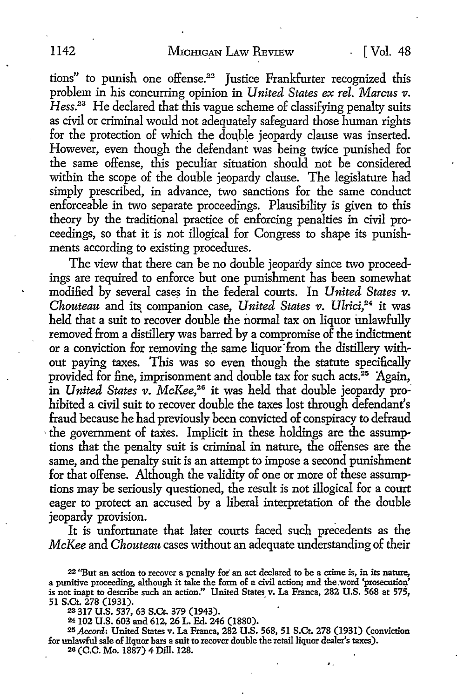tions" to punish one offense.<sup>22</sup> Justice Frankfurter recognized this problem in his concurring opinion in *United States ex rel. Marcus v.*   $Hess.<sup>23</sup>$  He declared that this vague scheme of classifying penalty suits as civil or criminal would not adequately safeguard those human rights for the protection of which the double jeopardy clause was inserted. However, even though the defendant was being twice punished for the same offense, this peculiar situation should not be considered within the scope of the double jeopardy clause. The legislature had simply prescribed, in advance, two sanctions for the same conduct enforceable in two separate proceedings. Plausibility is given to this theory by the traditional practice of enforcing penalties in civil proceedings, so that it is not illogical for Congress to shape its punishments according to existing procedures.

The view that there can be no double jeopardy since two proceedings are required to enforce but one punishment has been somewhat modified by several cases in the federal courts. In *United States v*. *Chouteau and its companion case, United States v. Ulrici*,<sup>24</sup> it was held that a suit to recover double the normal tax on liquor unlawfully removed from a distillery was barred by a compromise of the indictment or a conviction for removing the same liquor from the distillery without paying taxes. This was so even though the statute specifically provided for fine, imprisonment and double tax for such acts.<sup>25</sup> Again, in *United States v. McKee*,<sup>26</sup> it was held that double jeopardy prohibited a civil suit to recover double the taxes lost through defendant's fraud because he had previously been convicted of conspiracy to defraud  $\theta$  the government of taxes. Implicit in these holdings are the assumptions that the penalty suit is criminal in nature, the offenses are the same, and the penalty suit is an attempt to impose a second punishment for that offense. Although the validity of one or more of these assumptions may be seriously questioned, the result is not illogical for a court eager to protect an accused by a liberal interpretation of the double jeopardy provision.

It is unfortunate that later courts faced such precedents as the *McKee* and *Chouteau* cases without an adequate understanding of their

25 *Accord:* United States v. La Franca, 282 U.S. 568, 51 S.Ct. 278 (1931) (conviction for unlawful sale of liquor bars a suit to recover double the retail liquor dealer's taxes).

'·

26 (C.C. Mo. 1887) 4 Dill. 128.

<sup>22 &</sup>quot;But an action to recover a penalty for an act declared to be a crime is, in its nature, a punitive proceeding, although it take the form of a civil action; and the word 'prosecution' is not inapt to describe such an action." United States v. La Franca, 282 U.S. 568 at 575, 51 S.Ct. 278 (1931). .

<sup>23 317</sup> U.S. 537, 63 S.Ct. 379 (1943).

<sup>24</sup> 102 U.S. 603 and 612, 26 L. Ed. 246 (1880).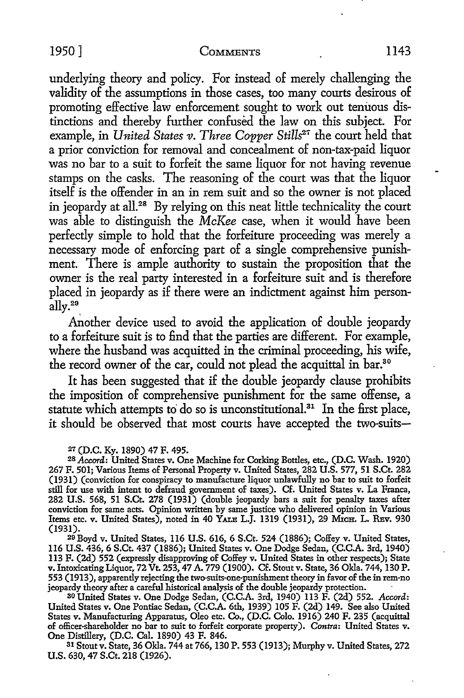underlying theory and policy. For instead of merely challenging the validity of the assumptions in those cases, too many courts desirous of promoting effective law enforcement sought to work out tenuous distinctions and thereby further confused the law on this subject. For example, in *United States v. Three Copper Stills<sup>27</sup>* the court held that a prior conviction for removal and concealment of non-tax-paid liquor was no bar to a suit to forfeit the same liquor for not having revenue stamps on the casks. The reasoning of the court was that the liquor itself is the offender in an in rem suit and so the owner is not placed in jeopardy at all.<sup>28</sup> By relying on this neat little technicality the court was able to distinguish the *McKee* case, when it would have been perfectly simple *to* hold that the forfeiture proceeding was merely a necessary mode of enforcing part of a single comprehensive punishment. There is ample authority to sustain the proposition that the owner is the real party interested in a forfeiture suit and is therefore placed in jeopardy as if there were an indictment against him personally.29

Another device used to avoid the application of double jeopardy to a forfeiture suit is to find that the parties are different. For example, where the husband was acquitted in the criminal proceeding, his wife, the record owner of the car, could not plead the acquittal in bar.<sup>30</sup>

It has been suggested that if the double jeopardy clause prohibits the imposition of comprehensive punishment for the same offense, a statute which attempts to do so is unconstitutional.<sup>31</sup> In the first place, it should be observed that most courts have accepted the two-suits-

#### *21* (D.C. Ky. 1890) 47 F. 495.

<sup>28</sup>*Accord:* United States v. One Machine for Corking Bottles, etc., (D.C. Wash. 1920) 267 F. 501; Various Items of Personal Property v. United States, 282 U.S. 577, 51 S.Ct. 282 (1931) (conviction for conspiracy to manufacture liquor unlawfully no bar to suit to forfeit still for use with intent to defraud government of taxes). Cf. United States v. La Franca, 282 U.S. 568, 51 S.Ct. 278 (1931) (double jeopardy bars a suit for penalty taxes after conviction for same acts. Opinion written by same justice who delivered opinion in Various Items etc. v. United States), noted in 40 YALE L.J. 1319 (1931), 29 MICH. L. REV. 930 (1931).

20 Boyd v. United States, 116 U.S. 616, 6 S.Ct. 524 (1886); Coffey v. United States, 116 U.S. 436, 6 S.Ct. 437 (1886); United States v. One Dodge Sedan, (C.C.A. 3rd, 1940) 113 F. (2d) 552 (expressly disapproving of Coffey v. United States in other respects); State v. Intoxicating Liquor, 72 Vt. 253, 47 A. 779 (1900). Cf. Stout v. State, 36 Okla. 744, 130 P. 553 (1913 ), apparently rejecting the two-suits-one-punishment theory in favor of the in rem-no jeopardy theory after a careful historical analysis of the double jeopardy protection.

SO United States v. One Dodge Sedan, (C.C.A. 3rd, 1940) 113 F. (2d) 552. *Accord:*  United States v. One Pontiac Sedan, (C.C.A. 6th, 1939) 105 F. (2d) 149. See also United States v. Manufacturing Apparatus, Oleo etc. Co., (D.C. Colo. 1916) 240 F. 235 (acquittal of officer-shareholder no bar to suit to forfeit corporate property). *Contra:* United States v. One Distillery, (D.C. Cal. 1890) 43 F. 846.

s1 Stout v. State, 36 Okla. 744 at 766, 130 P. 553 (1913); Murphy v. United States, 272 U.S. 630, 47 S.Ct. 218 (1926).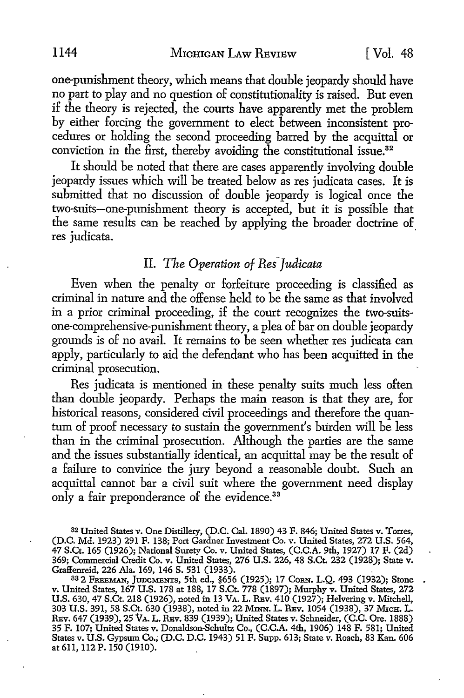one-punishment theory, which means that double jeopardy should have no part to play and no question of constitutionality is raised. But even if the theory is rejected, the courts have apparently met the problem by either forcing the government to elect between inconsistent procedures or holding the second proceeding barred by the acquittal or conviction in the first, thereby avoiding the constitutional issue.<sup>32</sup>

It should be noted that there are cases apparently involving double jeopardy issues which will be treated below as res judicata cases. It is submitted that no discussion of double jeopardy is logical once the two-suits-one-punishment theory is accepted, but it is possible that the same results can be reached by applying the broader doctrine of res *iudicata*.

## II. *The Operation of Res-Judicata*

Even when the penalty or forfeiture proceeding is classified as criminal in nature and the offense held to be the same as that involved in a prior criminal proceeding, if the court recognizes the two-suitsone-comprehensive-punishment theory, a plea of bar on double jeopardy grounds is of no avail. It remains to be seen whether res judicata can apply, particularly to aid the defendant who has been acquitted in the criminal prosecution.

Res judicata is mentioned in these penalty suits much less often than double jeopardy. Perhaps the main reason is that they are, for historical reasons, considered civil proceedings and therefore the quantum of proof necessary to sustain the government's burden will be less than in the criminal prosecution. Although the parties are the same and the issues substantially identical, an acquittal may be the result of a failure to convince the jury beyond a reasonable doubt. Such an acquittal cannot bar a civil suit where the government need display only a fair preponderance of the evidence.<sup>33</sup>

<sup>32</sup>United States v. One Distillery, (D.C. Cal. 1890) 43 F. 846; United States v. Torres, (D.C. Md. 1923) 291 F. 138; Port Gardner Investment Co. v. United States, 272 U.S. 564, 47 S.Ct. 165 (1926); National Surety Co. v. United States, (C.C.A. 9th, 1927) 17 F. (2d) 369; Commercial Credit Co. v. United States, 276 U.S. 226, 48 S.Ct. 232 (1928); State v. Graffenreid, 226 Ala. 169, 146 S. 531 (1933).

33 2 FREEMAN, JUDGMENTS, 5th ed., §656 (1925); 17 CoRN. L.Q. 493 (1932); Stone v. United States, 167 U.S. 178 at 188, 17 S.Ct. 778 (1897); Murphy v. United States, 272 U.S. 630, 47 S.Ct. 218 (1926), noted in 13 VA. L. REv. 410 (1927); Helvering v. Mitchell, 303 U.S. 391, 58 S.Ct. 630 (1938), noted in 22 MINN. L. RBv. 1054 (1938), 37 MICH. L. REV. 647 (1939), 25 VA. L. REV. 839 (1939); United States v. Schneider, (C.C. Ore. 1888) 35 F. 107; United States v. Donaldson-Schultz Co., (C.C.A. 4th, 1906) 148 F. 581; United States v. U.S. Gypsum Co.; (D.C. D.C. 1943) 51 F. Supp. 613; State v. Roach, 83 Kan. 606 at 611, 112 P. 150 (1910).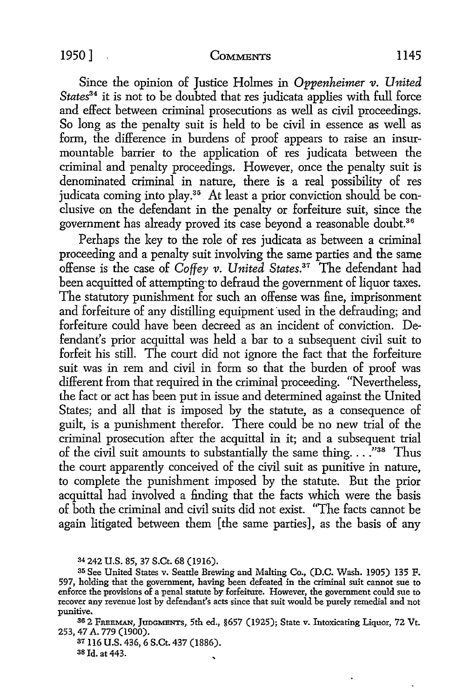Since the opinion of Justice Holmes in *Oppenheimer v. United*  States<sup>34</sup> it is not to be doubted that res judicata applies with full force and effect between criminal prosecutions as well as civil proceedings. So long as the penalty suit is held to be civil in essence as well as form, the difference in burdens of proof appears to raise an insurmountable barrier to the application of res judicata between the criminal and penalty proceedings. However, once the penalty suit is denominated criminal in nature, there is a real possibility of res judicata coming into play.<sup>35</sup> At least a prior conviction should be conclusive on the defendant in the penalty or forfeiture suit, since the government has already proved its case beyond a reasonable doubt.<sup>36</sup>

Perhaps the key to the role of res judicata as between a criminal proceeding and a penalty suit involving the same parties and the same offense is the case of *Coffey v. United States.31* The defendant had been acquitted of attempting·to defraud the government of liquor taxes. The statutory punishment for such an offense was fine, imprisonment and forfeiture of any distilling equipment used in the defrauding; and forfeiture could have been decreed as an incident of conviction. Defendant's prior acquittal was held a bar *to* a subsequent civil suit *to*  forfeit his still. The court did not ignore the fact that the forfeiture suit was in rem and civil in form so that the burden of proof was different from that required in the criminal proceeding. "Nevertheless, the fact or act has been put in issue and determined against the United States; and all that is imposed by the statute, as a consequence of guilt, is a punishment therefor. There could be no new trial of the criminal prosecution after the acquittal in it; and a subsequent trial of the civil suit amounts to substantially the same thing...<sup>7</sup><sup>38</sup> Thus the court apparently conceived of the civil suit as punitive in nature, *to* complete the punishment imposed by the statute. But the prior acquittal had involved a finding that the facts which were the basis of both the criminal and civil suits did not exist. "The facts cannot be again litigated between them [the same parties], as the basis of any

37116 U.S. 436, 6 S.Ct. 437 (1886). 38 Id. at 443.

<sup>34</sup>242 U.S. 85, 37 S.Ct. 68 (1916).

<sup>3</sup>5 See United States v. Seattle Brewing and Malting Co., (D.C. Wash. 1905) 135 F. 597, holding that the government, having been defeated in the criminal suit cannot sue to enforce the provisions of a penal statute by forfeiture. However, the government could sue to recover any revenue lost by defendant's acts since that suit would be purely remedial and not punitive.

<sup>36 2</sup> FREEMAN, JunGMENTs, 5th ed., §657 (1925); State v. Intoxicating Liquor, 72 Vt. 253, 47 A. 779 (1900).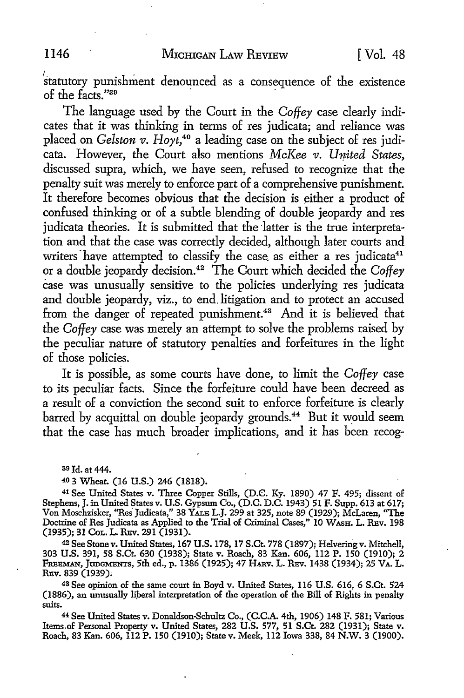$s$ tatutory punishment denounced as a consequence of the existence of the facts<sup>"30</sup>

The language used by the Court in the *Coffey* case clearly indicates that it was thinking in terms of res judicata; and reliance was placed on *Gelston v. Hoyt,4°* a leading case on the subject of res judicata. However, the Court also mentions *McKee v. United States,*  discussed supra, which, we have seen, refused to recognize that the penalty suit was merely to enforce part of a comprehensive punishment. It therefore becomes obvious that the decision is either a product of confused thinking or of a subtle blending of double jeopardy and res judicata theories. It is submitted that the latter is the true interpretation and that the case was correctly decided, although later courts and writers have attempted to classify the case as either a res judicata<sup>41</sup> or a double jeopardy decision.<sup>42</sup> The Court which decided the *Coffey* case was unusually sensitive to the policies underlying res judicata and double jeopardy, viz., to end.litigation and to protect an accused from the danger of repeated punishment.<sup>43</sup> And it is believed that the *Coffey* case was merely an attempt to solve the problems raised by the peculiar nature of statutory penalties and forfeitures in the light of those policies.

It is possibie, as some courts have done, to limit the *Coffey* case to its peculiar facts. Since the forfeiture could have been decreed as a result of a conviction the second suit to enforce forfeiture is clearly barred by acquittal on double jeopardy grounds.<sup>44</sup> But it would seem that the case has much broader implications, and it has been recog-

so Id. at 444.

40 3 Wheat. (16 U.S.) 246 (1818).

41 See United States v. Three Copper Stills, (D.C. Ky. 1890) 47 F. 495; dissent of Stephens, J. in United States v. U.S. Gypsum Co., (D.C. D.C. 1943) 51 F. Supp. 613 at 617; Von Moschzisker, ''Res· Judicata," 38 YALE L.J. 299 at 325, note 89 (1929); McLaren, ''The Doctrine of Res Judicata as Applied to the Trial of Criminal Cases," 10 WASH. L. REv. 198 (1935); 31 CoL. L. REv. 291 (1931).

42 See Stone v. United States, 167 U.S. 178, 17 S.Ct. 778 (1897); Helvering v. Mitchell, 303 U.S. 391, 58 S.Ct. 630 (1938); State v. Roach, 83 Kan. 606, 112 P. 150 (1910); 2 FmmMAN, JanGMENTs, 5th ed., p. 1386 (1925); 47 HARv. L. REv. 1438 (1934); 25 VA. L. REv. 839 (1939).

<sup>43</sup>See opinion of the same court in Boyd v. United States, 116 U.S. 616, 6 S.Ct. 524 (1886), an unusually liperal interpretation of the operation of the Bill of Rights in penalty suits.

<sup>44</sup>See United States v. Donaldson-Schultz Co., (C.C.A. 4th, 1906) 148 F. 581; Various Items.of Personal Property v. United States, 282 U.S. 577, 51 S.Ct. 282 (1931); State v. Roach, 83 Kan. 606, 112 P. 150 (1910); State v. Meek, 112 Iowa 338, 84 N.W. 3 (1900).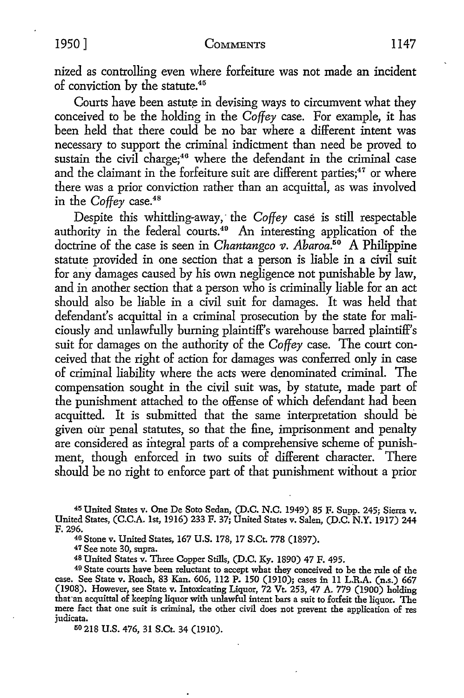nized as controlling even where forfeiture was not made an incident of conviction by the statute.<sup>45</sup>

Courts have been astute in devising ways to circumvent what they conceived to be the holding in the *Coffey* case. For example, it has been held that there could be no bar where a different intent was necessary to support the criminal indictment than need be proved to sustain the civil charge;<sup>46</sup> where the defendant in the criminal case and the claimant in the forfeiture suit are different parties;<sup>47</sup> or where there was a prior conviction rather than an acquittal, as was involved in the *Coffey* case.<sup>48</sup>

Despite this whittling-away, the Coffey case is still respectable authority in the federal courts.<sup>49</sup> An interesting application of the doctrine of the case is seen in *Chantangco v. Abaroa*.<sup>50</sup> A Philippine statute provided in one section that a person is liable in a civil suit for any damages caused by his own negligence not punishable by law, and in another section that a person who is criminally liable for an act should also be liable in a civil suit for damages. It was held that defendant's acquittal in a criminal prosecution by the state for maliciously and unlawfully burning plaintiff's warehouse barred plaintiff's suit for damages on the authority of the *Coffey* case. The court conceived that the right of action for damages was conferred only in case of criminal liability where the acts were denominated criminal. The compensation sought in the civil suit was, by statute, made part of the punishment attached to the offense of which defendant had been acquitted. It is submitted that the same interpretation should be given our penal statutes, so that the fine, imprisonment and penalty are considered as integral parts of a comprehensive scheme of punishment, though enforced in two suits of different character. There should be no right to enforce part of that punishment without a prior

<sup>45</sup>United States v. One De Soto Sedan, (D.C. **N.C.** 1949) 85 F. Supp. 245; Sierra v. United States, (C.C.A. 1st, 1916) 233 F. 37; United States v. Salen, (D.C. N.Y. 1917) 244 F. 296.

<sup>46</sup> Stone v. United States, 167 U.S. 178, 17 S.Ct. 778 (1897).<br><sup>47</sup> See note 30, supra.

<sup>48</sup>United States v. Three Copper Stills, (D.C. Ky. 1890) 47 F. 495.

49 State courts have been reluctant to accept what they conceived to be the rule of the case. See State v. Roach, 83 Kan. 606, 112 P. 150 (1910); cases in 11 L.R.A. (n.s.) 667 (1908). However, see State v. Intoxicating Liquor, 72 Vt. 253, 47 A. 779 (1900) holding that an acquittal of keeping liquor with unlawful intent bars a suit to forfeit the liquor. The mere fact that one suit is criminal, the other civil does not prevent the application of res judicata.

50 218 U.S. 476, 31 S.Ct. 34 (1910).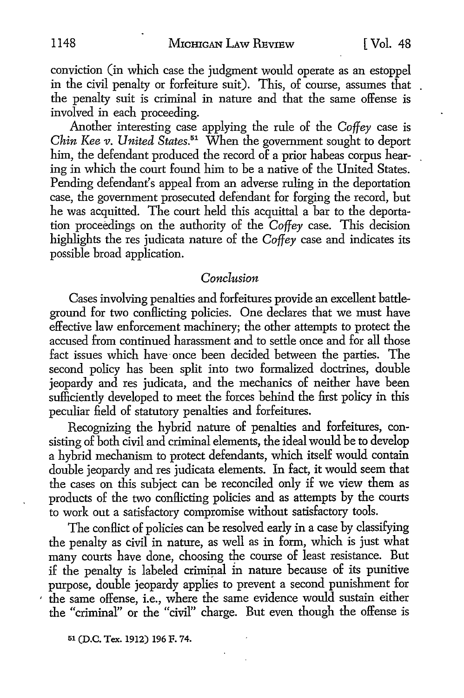conviction (in which case the judgment would operate as an estoppel in the civil penalty or forfeiture suit). This, of course, assumes that the penalty suit is criminal in nature and that the same offense is involved in each proceeding.

Another interesting case applying the rule of the *Coffey* case is *Chin Kee v. United States.*<sup>51</sup> When the government sought to deport him, the defendant produced the record of a prior habeas corpus hearing in which the court found him to be a native of the United States. Pending defendant's appeal from an adverse ruling in the deportation case, the government prosecuted defendant for forging the record, but he was acquitted. The court held this acquittal a bar to the deportation proceedings on the authority of the *Coffey* case. This decision highlights the res judicata nature of the *Coffey* case and indicates its possible broad application.

#### *Conclusion*

Cases involving penalties and forfeitures provide an excellent battleground for two conflicting policies. One declares that we must have effective law enforcement machinery; the other attempts to protect the accused from continued harassment and to settle once and for all those fact issues which have once been decided between the parties. The second policy has been split into two formalized doctrines, double jeopardy and res judicata, and the mechanics of neither have been sufficiently developed to meet the forces behind the first policy in this peculiar field of statutory penalties and forfeitures.

Recognizing the hybrid nature of penalties and forfeitures, consisting of both civil and criminal elements, the ideal would be to develop a hybrid mechanism to protect defendants, which itself would contain double jeopardy and res judicata elements. In fact, it would seem that the cases on this subject can be reconciled only if we view them as products of the two conflicting policies and as attempts by the courts to work out a satisfactory compromise without satisfactory tools.

The conflict of policies can be resolved early in a case by classifying the penalty as civil in nature, as well as in form, which is just what many courts have done, choosing the course of least resistance. But if the penalty is labeled criminal in nature because of its punitive purpose, double jeopardy applies to prevent a second punishment for ' the same offense, i.e., where the same evidence would sustain either the "criminal" or the "civil" charge. But even though the offense is